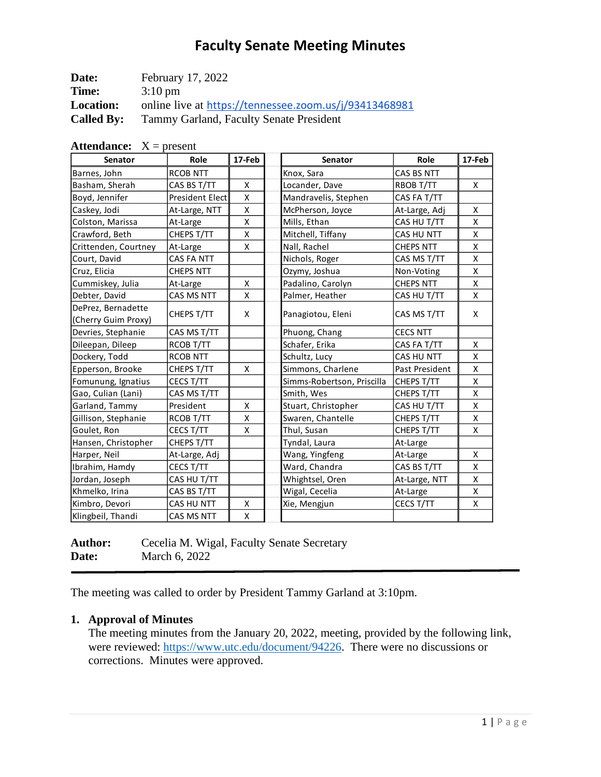| Date:             | February 17, 2022                                      |
|-------------------|--------------------------------------------------------|
| Time:             | $3:10 \text{ pm}$                                      |
| <b>Location:</b>  | online live at https://tennessee.zoom.us/j/93413468981 |
| <b>Called By:</b> | Tammy Garland, Faculty Senate President                |

| Auchuance.<br><b>Senator</b> | $\Lambda$ – present<br>Role | 17-Feb |  | Senator                    | Role             | 17-Feb |
|------------------------------|-----------------------------|--------|--|----------------------------|------------------|--------|
| Barnes, John                 | <b>RCOB NTT</b>             |        |  | Knox, Sara                 | CAS BS NTT       |        |
| Basham, Sherah               | CAS BS T/TT                 | X      |  | Locander, Dave             | RBOB T/TT        | X      |
| Boyd, Jennifer               | President Elect             | X      |  | Mandravelis, Stephen       | CAS FA T/TT      |        |
| Caskey, Jodi                 | At-Large, NTT               | X      |  | McPherson, Joyce           | At-Large, Adj    | X      |
| Colston, Marissa             | At-Large                    | X      |  | Mills, Ethan               | CAS HU T/TT      | X      |
| Crawford, Beth               | CHEPS T/TT                  | X      |  | Mitchell, Tiffany          | CAS HU NTT       | x      |
| Crittenden, Courtney         | At-Large                    | X      |  | Nall, Rachel               | <b>CHEPS NTT</b> | X      |
| Court, David                 | CAS FA NTT                  |        |  | Nichols, Roger             | CAS MS T/TT      | X      |
| Cruz, Elicia                 | <b>CHEPS NTT</b>            |        |  | Ozymy, Joshua              | Non-Voting       | X      |
| Cummiskey, Julia             | At-Large                    | X      |  | Padalino, Carolyn          | <b>CHEPS NTT</b> | Χ      |
| Debter, David                | CAS MS NTT                  | X      |  | Palmer, Heather            | CAS HU T/TT      | X      |
| DePrez, Bernadette           |                             | X      |  | Panagiotou, Eleni          | CAS MS T/TT      | X      |
| (Cherry Guim Proxy)          | CHEPS T/TT                  |        |  |                            |                  |        |
| Devries, Stephanie           | CAS MS T/TT                 |        |  | Phuong, Chang              | <b>CECS NTT</b>  |        |
| Dileepan, Dileep             | RCOB T/TT                   |        |  | Schafer, Erika             | CAS FA T/TT      | X      |
| Dockery, Todd                | <b>RCOB NTT</b>             |        |  | Schultz, Lucy              | CAS HU NTT       | X      |
| Epperson, Brooke             | CHEPS T/TT                  | X      |  | Simmons, Charlene          | Past President   | X      |
| Fomunung, Ignatius           | CECS T/TT                   |        |  | Simms-Robertson, Priscilla | CHEPS T/TT       | X      |
| Gao, Culian (Lani)           | CAS MS T/TT                 |        |  | Smith, Wes                 | CHEPS T/TT       | X      |
| Garland, Tammy               | President                   | X      |  | Stuart, Christopher        | CAS HU T/TT      | X      |
| Gillison, Stephanie          | RCOB T/TT                   | X      |  | Swaren, Chantelle          | CHEPS T/TT       | X      |
| Goulet, Ron                  | CECS T/TT                   | X      |  | Thul, Susan                | CHEPS T/TT       | X      |
| Hansen, Christopher          | CHEPS T/TT                  |        |  | Tyndal, Laura              | At-Large         |        |
| Harper, Neil                 | At-Large, Adj               |        |  | Wang, Yingfeng             | At-Large         | X      |
| Ibrahim, Hamdy               | CECS T/TT                   |        |  | Ward, Chandra              | CAS BS T/TT      | X      |
| Jordan, Joseph               | CAS HU T/TT                 |        |  | Whightsel, Oren            | At-Large, NTT    | X      |
| Khmelko, Irina               | CAS BS T/TT                 |        |  | Wigal, Cecelia             | At-Large         | X      |
| Kimbro, Devori               | CAS HU NTT                  | X      |  | Xie, Mengjun               | CECS T/TT        | X      |
| Klingbeil, Thandi            | CAS MS NTT                  | X      |  |                            |                  |        |

**Attendance:**  $X =$  present

**Author:** Cecelia M. Wigal, Faculty Senate Secretary **Date:** March 6, 2022

The meeting was called to order by President Tammy Garland at 3:10pm.

## **1. Approval of Minutes**

The meeting minutes from the January 20, 2022, meeting, provided by the following link, were reviewed: [https://www.utc.edu/document/94226.](https://www.utc.edu/document/94226) There were no discussions or corrections. Minutes were approved.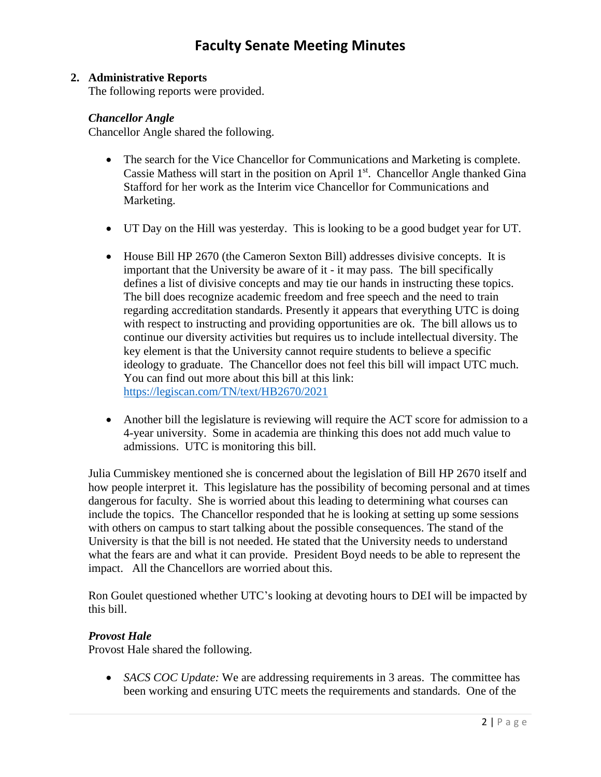### **2. Administrative Reports**

The following reports were provided.

## *Chancellor Angle*

Chancellor Angle shared the following.

- The search for the Vice Chancellor for Communications and Marketing is complete. Cassie Mathess will start in the position on April  $1<sup>st</sup>$ . Chancellor Angle thanked Gina Stafford for her work as the Interim vice Chancellor for Communications and Marketing.
- UT Day on the Hill was yesterday. This is looking to be a good budget year for UT.
- House Bill HP 2670 (the Cameron Sexton Bill) addresses divisive concepts. It is important that the University be aware of it - it may pass. The bill specifically defines a list of divisive concepts and may tie our hands in instructing these topics. The bill does recognize academic freedom and free speech and the need to train regarding accreditation standards. Presently it appears that everything UTC is doing with respect to instructing and providing opportunities are ok. The bill allows us to continue our diversity activities but requires us to include intellectual diversity. The key element is that the University cannot require students to believe a specific ideology to graduate. The Chancellor does not feel this bill will impact UTC much. You can find out more about this bill at this link: <https://legiscan.com/TN/text/HB2670/2021>
- Another bill the legislature is reviewing will require the ACT score for admission to a 4-year university. Some in academia are thinking this does not add much value to admissions. UTC is monitoring this bill.

Julia Cummiskey mentioned she is concerned about the legislation of Bill HP 2670 itself and how people interpret it. This legislature has the possibility of becoming personal and at times dangerous for faculty. She is worried about this leading to determining what courses can include the topics. The Chancellor responded that he is looking at setting up some sessions with others on campus to start talking about the possible consequences. The stand of the University is that the bill is not needed. He stated that the University needs to understand what the fears are and what it can provide. President Boyd needs to be able to represent the impact. All the Chancellors are worried about this.

Ron Goulet questioned whether UTC's looking at devoting hours to DEI will be impacted by this bill.

#### *Provost Hale*

Provost Hale shared the following.

• *SACS COC Update:* We are addressing requirements in 3 areas. The committee has been working and ensuring UTC meets the requirements and standards. One of the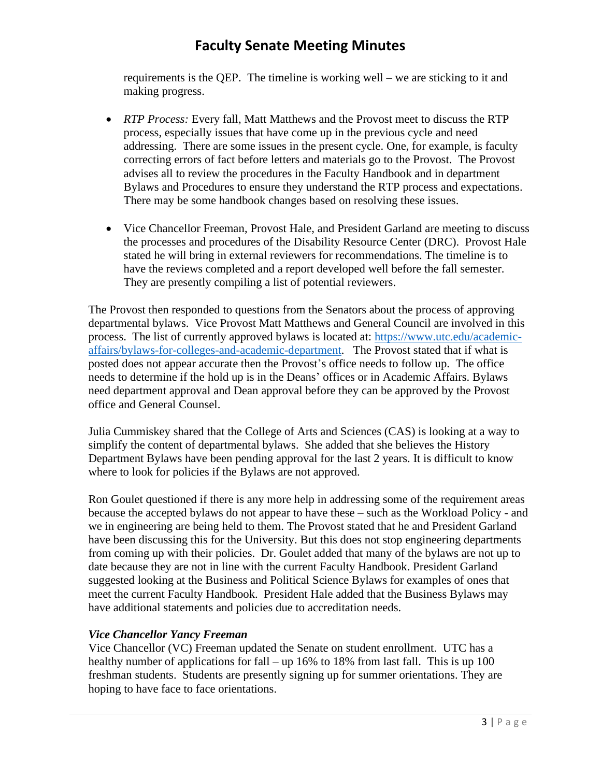requirements is the QEP. The timeline is working well – we are sticking to it and making progress.

- *RTP Process:* Every fall, Matt Matthews and the Provost meet to discuss the RTP process, especially issues that have come up in the previous cycle and need addressing. There are some issues in the present cycle. One, for example, is faculty correcting errors of fact before letters and materials go to the Provost. The Provost advises all to review the procedures in the Faculty Handbook and in department Bylaws and Procedures to ensure they understand the RTP process and expectations. There may be some handbook changes based on resolving these issues.
- Vice Chancellor Freeman, Provost Hale, and President Garland are meeting to discuss the processes and procedures of the Disability Resource Center (DRC). Provost Hale stated he will bring in external reviewers for recommendations. The timeline is to have the reviews completed and a report developed well before the fall semester. They are presently compiling a list of potential reviewers.

The Provost then responded to questions from the Senators about the process of approving departmental bylaws. Vice Provost Matt Matthews and General Council are involved in this process. The list of currently approved bylaws is located at: [https://www.utc.edu/academic](https://www.utc.edu/academic-affairs/bylaws-for-colleges-and-academic-department)[affairs/bylaws-for-colleges-and-academic-department.](https://www.utc.edu/academic-affairs/bylaws-for-colleges-and-academic-department) The Provost stated that if what is posted does not appear accurate then the Provost's office needs to follow up. The office needs to determine if the hold up is in the Deans' offices or in Academic Affairs. Bylaws need department approval and Dean approval before they can be approved by the Provost office and General Counsel.

Julia Cummiskey shared that the College of Arts and Sciences (CAS) is looking at a way to simplify the content of departmental bylaws. She added that she believes the History Department Bylaws have been pending approval for the last 2 years. It is difficult to know where to look for policies if the Bylaws are not approved.

Ron Goulet questioned if there is any more help in addressing some of the requirement areas because the accepted bylaws do not appear to have these – such as the Workload Policy - and we in engineering are being held to them. The Provost stated that he and President Garland have been discussing this for the University. But this does not stop engineering departments from coming up with their policies. Dr. Goulet added that many of the bylaws are not up to date because they are not in line with the current Faculty Handbook. President Garland suggested looking at the Business and Political Science Bylaws for examples of ones that meet the current Faculty Handbook. President Hale added that the Business Bylaws may have additional statements and policies due to accreditation needs.

## *Vice Chancellor Yancy Freeman*

Vice Chancellor (VC) Freeman updated the Senate on student enrollment. UTC has a healthy number of applications for fall – up 16% to 18% from last fall. This is up 100 freshman students. Students are presently signing up for summer orientations. They are hoping to have face to face orientations.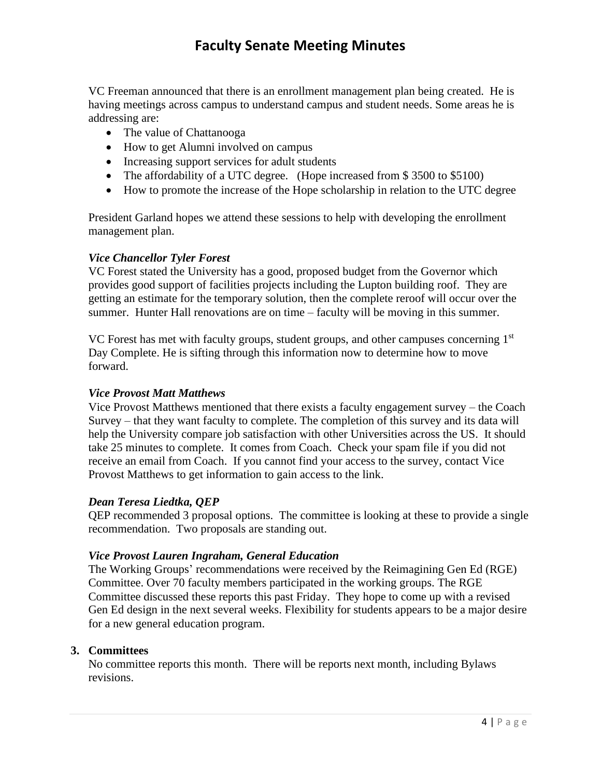VC Freeman announced that there is an enrollment management plan being created. He is having meetings across campus to understand campus and student needs. Some areas he is addressing are:

- The value of Chattanooga
- How to get Alumni involved on campus
- Increasing support services for adult students
- The affordability of a UTC degree. (Hope increased from \$3500 to \$5100)
- How to promote the increase of the Hope scholarship in relation to the UTC degree

President Garland hopes we attend these sessions to help with developing the enrollment management plan.

#### *Vice Chancellor Tyler Forest*

VC Forest stated the University has a good, proposed budget from the Governor which provides good support of facilities projects including the Lupton building roof. They are getting an estimate for the temporary solution, then the complete reroof will occur over the summer. Hunter Hall renovations are on time – faculty will be moving in this summer.

VC Forest has met with faculty groups, student groups, and other campuses concerning  $1<sup>st</sup>$ Day Complete. He is sifting through this information now to determine how to move forward.

#### *Vice Provost Matt Matthews*

Vice Provost Matthews mentioned that there exists a faculty engagement survey – the Coach Survey – that they want faculty to complete. The completion of this survey and its data will help the University compare job satisfaction with other Universities across the US. It should take 25 minutes to complete. It comes from Coach. Check your spam file if you did not receive an email from Coach. If you cannot find your access to the survey, contact Vice Provost Matthews to get information to gain access to the link.

#### *Dean Teresa Liedtka, QEP*

QEP recommended 3 proposal options. The committee is looking at these to provide a single recommendation. Two proposals are standing out.

#### *Vice Provost Lauren Ingraham, General Education*

The Working Groups' recommendations were received by the Reimagining Gen Ed (RGE) Committee. Over 70 faculty members participated in the working groups. The RGE Committee discussed these reports this past Friday. They hope to come up with a revised Gen Ed design in the next several weeks. Flexibility for students appears to be a major desire for a new general education program.

#### **3. Committees**

No committee reports this month. There will be reports next month, including Bylaws revisions.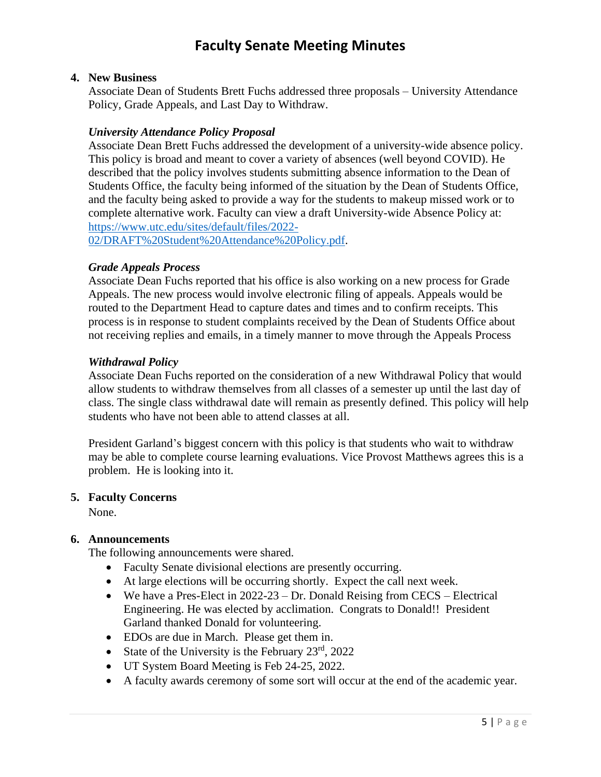## **4. New Business**

Associate Dean of Students Brett Fuchs addressed three proposals – University Attendance Policy, Grade Appeals, and Last Day to Withdraw.

## *University Attendance Policy Proposal*

Associate Dean Brett Fuchs addressed the development of a university-wide absence policy. This policy is broad and meant to cover a variety of absences (well beyond COVID). He described that the policy involves students submitting absence information to the Dean of Students Office, the faculty being informed of the situation by the Dean of Students Office, and the faculty being asked to provide a way for the students to makeup missed work or to complete alternative work. Faculty can view a draft University-wide Absence Policy at: [https://www.utc.edu/sites/default/files/2022-](https://www.utc.edu/sites/default/files/2022-02/DRAFT%20Student%20Attendance%20Policy.pdf)

[02/DRAFT%20Student%20Attendance%20Policy.pdf.](https://www.utc.edu/sites/default/files/2022-02/DRAFT%20Student%20Attendance%20Policy.pdf)

## *Grade Appeals Process*

Associate Dean Fuchs reported that his office is also working on a new process for Grade Appeals. The new process would involve electronic filing of appeals. Appeals would be routed to the Department Head to capture dates and times and to confirm receipts. This process is in response to student complaints received by the Dean of Students Office about not receiving replies and emails, in a timely manner to move through the Appeals Process

## *Withdrawal Policy*

Associate Dean Fuchs reported on the consideration of a new Withdrawal Policy that would allow students to withdraw themselves from all classes of a semester up until the last day of class. The single class withdrawal date will remain as presently defined. This policy will help students who have not been able to attend classes at all.

President Garland's biggest concern with this policy is that students who wait to withdraw may be able to complete course learning evaluations. Vice Provost Matthews agrees this is a problem. He is looking into it.

#### **5. Faculty Concerns**

None.

## **6. Announcements**

The following announcements were shared.

- Faculty Senate divisional elections are presently occurring.
- At large elections will be occurring shortly. Expect the call next week.
- We have a Pres-Elect in 2022-23 Dr. Donald Reising from CECS Electrical Engineering. He was elected by acclimation. Congrats to Donald!! President Garland thanked Donald for volunteering.
- EDOs are due in March. Please get them in.
- State of the University is the February  $23<sup>rd</sup>$ ,  $2022$
- UT System Board Meeting is Feb 24-25, 2022.
- A faculty awards ceremony of some sort will occur at the end of the academic year.